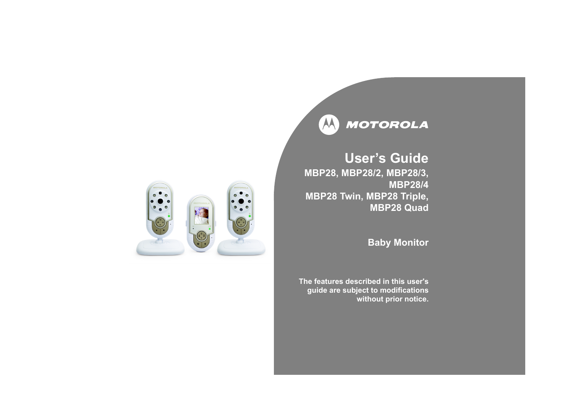

# **Userís Guide MBP28, MBP28/2, MBP28/3, MBP28/4MBP28 Twin, MBP28 Triple, MBP28 Quad**

# **Baby Monitor**

**The features described in this user'sguide are subject to modifications without prior notice.**

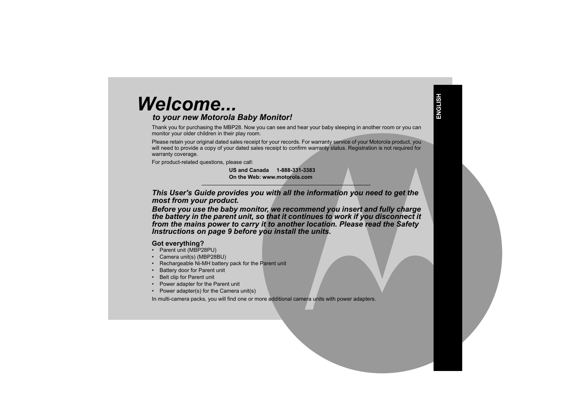# *Welcome...*

# *to your new Motorola Baby Monitor!*

Thank you for purchasing the MBP28. Now you can see and hear your baby sleeping in another room or you can monitor your older children in their play room.

Please retain your original dated sales receipt for your records. For warranty service of your Motorola product, you will need to provide a copy of your dated sales receipt to confirm warranty status. Registration is not required for warranty coverage.

For product-related questions, please call:

**US and Canada 1-888-331-3383On the Web: www.motorola.com**

*This User's Guide provides you with all the information you need to get the most from your product.*

*Before you use the baby monitor, we recommend you insert and fully charge the battery in the parent unit, so that it continues to work if you disconnect it from the mains power to carry it to another location. Please read the Safety Instructions on page 9 before you install the units.*

# **Got everything?**

- Parent unit (MBP28PU)
- Camera unit(s) (MBP28BU)
- Rechargeable Ni-MH battery pack for the Parent unit
- Battery door for Parent unit
- Belt clip for Parent unit
- Power adapter for the Parent unit
- Power adapter(s) for the Camera unit(s)

In multi-camera packs, you will find one or more additional camera units with power adapters.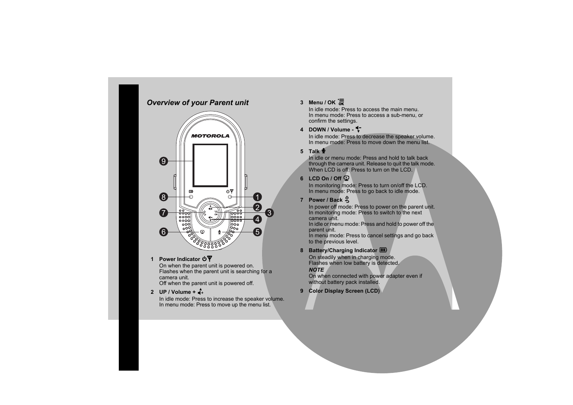# *Overview of your Parent unit*



#### **1 Power Indicator**  $\mathbf{\Phi}\mathbf{\Psi}$

 On when the parent unit is powered on. Flashes when the parent unit is searching for a camera unit.

Off when the parent unit is powered off.

### **2 UP / Volume +** +

In idle mode: Press to increase the speaker volume. In menu mode: Press to move up the menu list.

# **3 Menu / OK** 1

In idle mode: Press to access the main menu. In menu mode: Press to access a sub-menu, or confirm the settings.

# **4 DOWN / Volume -** -

In idle mode: Press to decrease the speaker volume. In menu mode: Press to move down the menu list.

# **5 Talk** 7

In idle or menu mode: Press and hold to talk back through the camera unit. Release to quit the talk mode. When LCD is off: Press to turn on the LCD.

# **6 LCD On / Off** 6

In monitoring mode: Press to turn on/off the LCD. In menu mode: Press to go back to idle mode.

# **7 Power / Back** 3

In power off mode: Press to power on the parent unit. In monitoring mode: Press to switch to the next camera unit.

In idle or menu mode: Press and hold to power off the parent unit.

In menu mode: Press to cancel settings and go back to the previous level.

# 8 **Battery/Charging Indicator III**

On steadily when in charging mode. Flashes when low battery is detected.

### *NOTE*

On when connected with power adapter even if without battery pack installed.

**9 Color Display Screen (LCD)**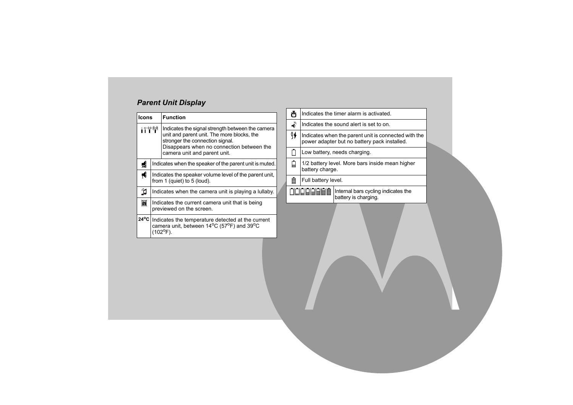# *Parent Unit Display*

| <b>Icons</b> |                                                                                                                                                                     | <b>Function</b>                                                                                                                                                                                                |  |
|--------------|---------------------------------------------------------------------------------------------------------------------------------------------------------------------|----------------------------------------------------------------------------------------------------------------------------------------------------------------------------------------------------------------|--|
| : * * * *    |                                                                                                                                                                     | Indicates the signal strength between the camera<br>unit and parent unit. The more blocks, the<br>stronger the connection signal.<br>Disappears when no connection between the<br>camera unit and parent unit. |  |
| 쀎            | Indicates when the speaker of the parent unit is muted.                                                                                                             |                                                                                                                                                                                                                |  |
| ₩            | Indicates the speaker volume level of the parent unit,<br>from 1 (quiet) to 5 (loud).                                                                               |                                                                                                                                                                                                                |  |
| n            | Indicates when the camera unit is playing a lullaby.                                                                                                                |                                                                                                                                                                                                                |  |
| 圖            | Indicates the current camera unit that is being<br>previewed on the screen.                                                                                         |                                                                                                                                                                                                                |  |
|              | 24°C Indicates the temperature detected at the current<br>camera unit, between 14 <sup>o</sup> C (57 <sup>o</sup> F) and 39 <sup>o</sup> C<br>(102 <sup>0</sup> F). |                                                                                                                                                                                                                |  |

| ñ  |                                                                                                      | Indicates the timer alarm is activated.                     |  |
|----|------------------------------------------------------------------------------------------------------|-------------------------------------------------------------|--|
| Ō  | Indicates the sound alert is set to on.                                                              |                                                             |  |
| ÿ∲ | Indicates when the parent unit is connected with the<br>power adapter but no battery pack installed. |                                                             |  |
|    | Low battery, needs charging.                                                                         |                                                             |  |
| ╘  | battery charge.                                                                                      | 1/2 battery level. More bars inside mean higher             |  |
| ≣  | Full battery level.                                                                                  |                                                             |  |
|    | 油制制制具                                                                                                | Internal bars cycling indicates the<br>battery is charging. |  |
|    |                                                                                                      |                                                             |  |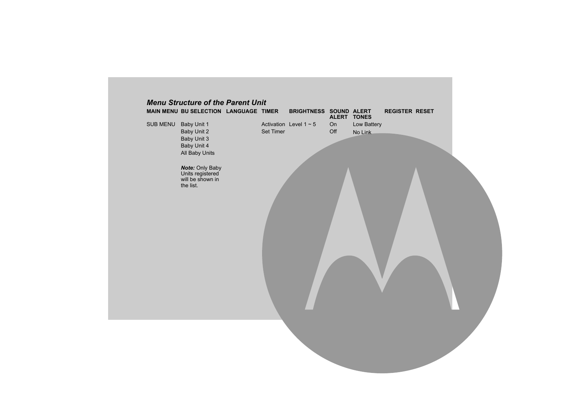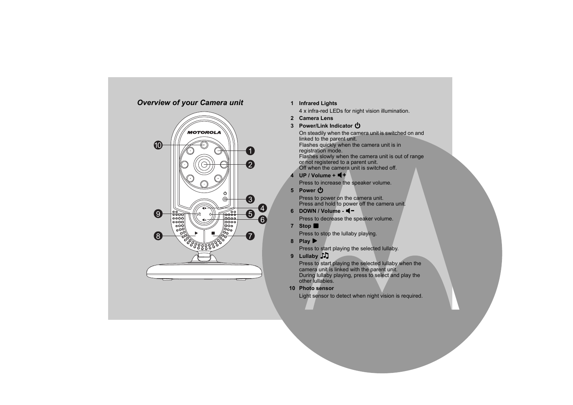# *Overview of your Camera unit*



### **1 Infrared Lights**

4 x infra-red LEDs for night vision illumination.

**2 Camera Lens**

# **3 Power/Link Indicator** 0

On steadily when the camera unit is switched on and linked to the parent unit. Flashes quickly when the camera unit is in registration mode. Flashes slowly when the camera unit is out of range or not registered to a parent unit. Off when the camera unit is switched off.

**4 UP** / Volume +  $\blacksquare$  +

Press to increase the speaker volume.

**5 Power**  0

Press to power on the camera unit. Press and hold to power off the camera unit.

**6 DOWN / Volume -** <

Press to decrease the speaker volume.

**7 Stop**  9

Press to stop the lullaby playing.

**8 Play**  8

Press to start playing the selected lullaby.

**9 Lullaby**  2

Press to start playing the selected lullaby when the camera unit is linked with the parent unit. During lullaby playing, press to select and play the other lullabies.

### **10 Photo sensor**

Light sensor to detect when night vision is required.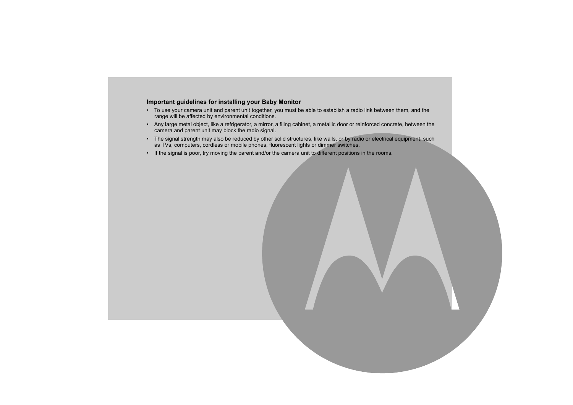#### **Important guidelines for installing your Baby Monitor**

- ï To use your camera unit and parent unit together, you must be able to establish a radio link between them, and the range will be affected by environmental conditions.
- Any large metal object, like a refrigerator, a mirror, a filing cabinet, a metallic door or reinforced concrete, between the camera and parent unit may block the radio signal.
- The signal strength may also be reduced by other solid structures, like walls, or by radio or electrical equipment, such as TVs, computers, cordless or mobile phones, fluorescent lights or dimmer switches.
- If the signal is poor, try moving the parent and/or the camera unit to different positions in the rooms.

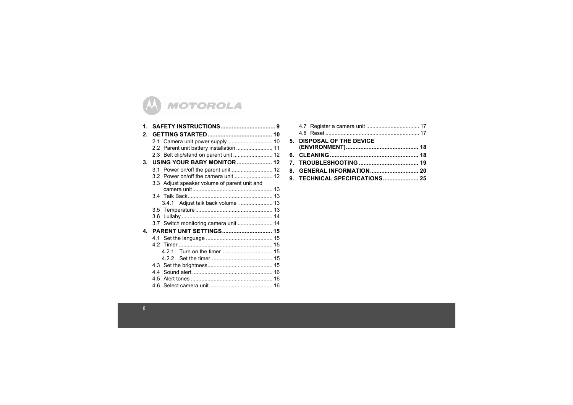

| 1.          |                                              |
|-------------|----------------------------------------------|
| $2_{\cdot}$ |                                              |
|             |                                              |
|             |                                              |
|             | 2.3 Belt clip/stand on parent unit  12       |
| 3.          |                                              |
|             |                                              |
|             |                                              |
|             | 3.3 Adjust speaker volume of parent unit and |
|             |                                              |
|             |                                              |
|             | 3.4.1 Adjust talk back volume  13            |
|             |                                              |
|             |                                              |
|             |                                              |
| 4.          | <b>PARENT UNIT SETTINGS 15</b>               |
|             |                                              |
|             |                                              |
|             | 421                                          |
|             |                                              |
|             |                                              |
|             |                                              |
|             |                                              |
|             |                                              |

| 5. DISPOSAL OF THE DEVICE |  |
|---------------------------|--|
|                           |  |
|                           |  |
|                           |  |
|                           |  |
|                           |  |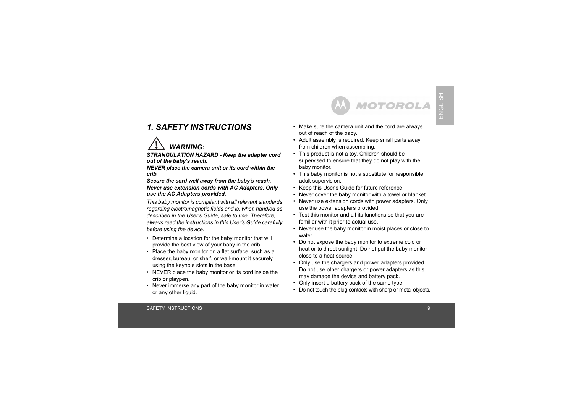# *1. SAFETY INSTRUCTIONS*



*STRANGULATION HAZARD - Keep the adapter cord out of the baby's reach.*

*NEVER place the camera unit or its cord within the crib.*

*Secure the cord well away from the baby's reach. Never use extension cords with AC Adapters. Only use the AC Adapters provided.*

*This baby monitor is compliant with all relevant standards regarding electromagnetic fields and is, when handled as described in the User's Guide, safe to use. Therefore, always read the instructions in this User's Guide carefully before using the device.*

- Determine a location for the baby monitor that will provide the best view of your baby in the crib.
- Place the baby monitor on a flat surface, such as a dresser, bureau, or shelf, or wall-mount it securely using the keyhole slots in the base.
- NEVER place the baby monitor or its cord inside the crib or playpen.
- Never immerse any part of the baby monitor in water or any other liquid.

• Make sure the camera unit and the cord are always out of reach of the baby.

**MOTOROLA** 

- Adult assembly is required. Keep small parts away from children when assembling.
- This product is not a toy. Children should be supervised to ensure that they do not play with the baby monitor.
- This baby monitor is not a substitute for responsible adult supervision.
- Keep this User's Guide for future reference.
- Never cover the baby monitor with a towel or blanket.
- Never use extension cords with power adapters. Only use the power adapters provided.
- Test this monitor and all its functions so that you are familiar with it prior to actual use.
- Never use the baby monitor in moist places or close to water.
- Do not expose the baby monitor to extreme cold or heat or to direct sunlight. Do not put the baby monitor close to a heat source.
- Only use the chargers and power adapters provided. Do not use other chargers or power adapters as this may damage the device and battery pack.
- Only insert a battery pack of the same type.
- Do not touch the plug contacts with sharp or metal objects.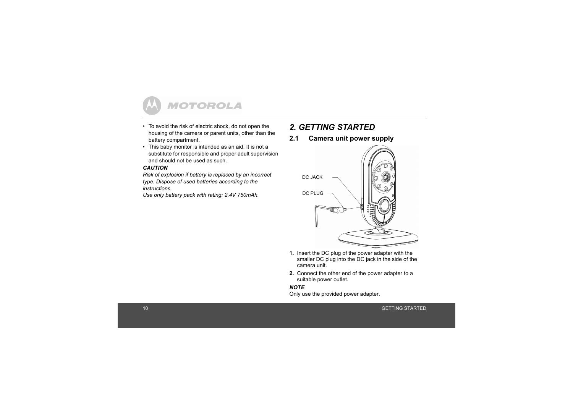

- To avoid the risk of electric shock, do not open the housing of the camera or parent units, other than the battery compartment.
- This baby monitor is intended as an aid. It is not a substitute for responsible and proper adult supervision and should not be used as such.

#### *CAUTION*

*Risk of explosion if battery is replaced by an incorrect type. Dispose of used batteries according to the instructions.* 

*Use only battery pack with rating: 2.4V 750mAh.*

# *2. GETTING STARTED*

**2.1 Camera unit power supply**



- **1.** Insert the DC plug of the power adapter with the smaller DC plug into the DC jack in the side of the camera unit.
- **2.** Connect the other end of the power adapter to a suitable power outlet.

#### *NOTE*

Only use the provided power adapter.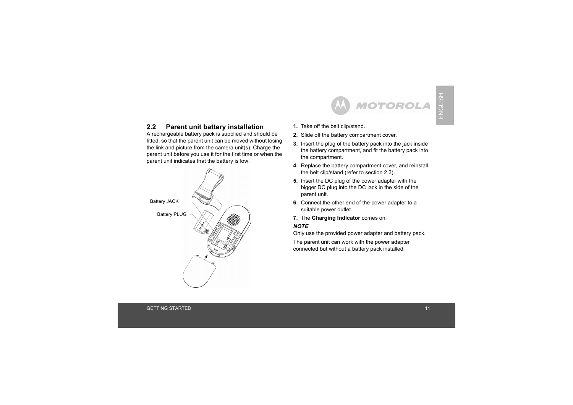### **2.2 Parent unit battery installation**

A rechargeable battery pack is supplied and should be fitted, so that the parent unit can be moved without losing the link and picture from the camera unit(s). Charge the parent unit before you use it for the first time or when the parent unit indicates that the battery is low.



- **1.** Take off the belt clip/stand.
- **2.** Slide off the battery compartment cover.
- **3.** Insert the plug of the battery pack into the jack inside the battery compartment, and fit the battery pack into the compartment.
- **4.** Replace the battery compartment cover, and reinstall the belt clip/stand (refer to section 2.3).
- **5.** Insert the DC plug of the power adapter with the bigger DC plug into the DC jack in the side of the parent unit.
- **6.** Connect the other end of the power adapter to a suitable power outlet.
- **7.** The **Charging Indicator** comes on.

#### *NOTE*

Only use the provided power adapter and battery pack.

The parent unit can work with the power adapter connected but without a battery pack installed.

ENGLISH

ENGLISH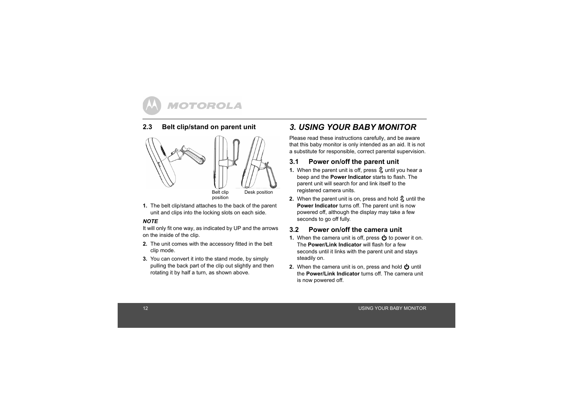# **2.3 Belt clip/stand on parent unit**





```
position
```
**1.** The belt clip/stand attaches to the back of the parent unit and clips into the locking slots on each side.

#### *NOTE*

It will only fit one way, as indicated by UP and the arrows on the inside of the clip.

- **2.** The unit comes with the accessory fitted in the belt clip mode.
- **3.** You can convert it into the stand mode, by simply pulling the back part of the clip out slightly and then rotating it by half a turn, as shown above.

# *3. USING YOUR BABY MONITOR*

Please read these instructions carefully, and be aware that this baby monitor is only intended as an aid. It is not a substitute for responsible, correct parental supervision.

# **3.1 Power on/off the parent unit**

- **1.** When the parent unit is off, press  $\frac{6}{5}$  until you hear a beep and the **Power Indicator** starts to flash. The parent unit will search for and link itself to the registered camera units.
- **2.** When the parent unit is on, press and hold  $\frac{6}{5}$  until the **Power Indicator** turns off. The parent unit is now powered off, although the display may take a few seconds to go off fully.

# **3.2 Power on/off the camera unit**

- **1.** When the camera unit is off, press  $\bigcirc$  to power it on. The **Power/Link Indicator** will flash for a few seconds until it links with the parent unit and stays steadily on.
- **2.** When the camera unit is on, press and hold  $\Phi$  until the **Power/Link Indicator** turns off. The camera unit is now powered off.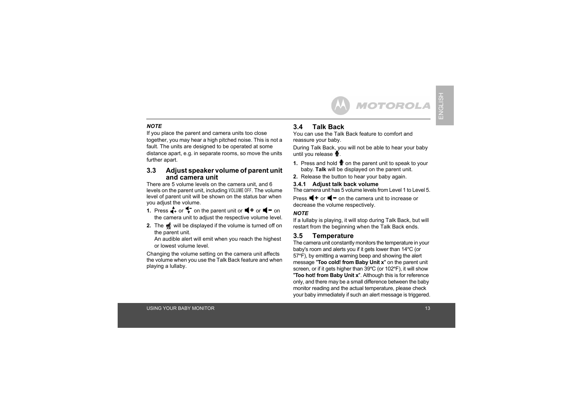#### *NOTE*

If you place the parent and camera units too close together, you may hear a high pitched noise. This is not a fault. The units are designed to be operated at some distance apart, e.g. in separate rooms, so move the units further apart.

#### **3.3 Adjust speaker volume of parent unit and camera unit**

There are 5 volume levels on the camera unit, and 6 levels on the parent unit, including **VOLUME OFF**. The volume level of parent unit will be shown on the status bar when you adjust the volume.

- **1.** Press  $\stackrel{\blacktriangle}{\blacktriangle}$  or  $\stackrel{\blacktriangle}{\blacktriangledown}$  on the parent unit or  $\stackrel{\blacktriangle}{\blacktriangle}$  or  $\stackrel{\blacktriangle}{\blacktriangle}$  on the camera unit to adjust the respective volume level.
- **2.** The will be displayed if the volume is turned off on the parent unit.

An audible alert will emit when you reach the highest or lowest volume level.

Changing the volume setting on the camera unit affects the volume when you use the Talk Back feature and when playing a lullaby.

# **3.4 Talk Back**

You can use the Talk Back feature to comfort and reassure your baby.

During Talk Back, you will not be able to hear your baby until you release  $\Psi$ .

**MOTOROLA** 

- 1. Press and hold **v** on the parent unit to speak to your baby. **Talk** will be displayed on the parent unit.
- **2.** Release the button to hear your baby again.

#### **3.4.1 Adjust talk back volume**

The camera unit has 5 volume levels from Level 1 to Level 5.

Press  $\blacktriangleleft$  + or  $\blacktriangleleft$  – on the camera unit to increase or decrease the volume respectively.

#### *NOTE*

If a lullaby is playing, it will stop during Talk Back, but will restart from the beginning when the Talk Back ends.

### **3.5 Temperature**

The camera unit constantly monitors the temperature in your baby's room and alerts you if it gets lower than 14ºC (or 57ºF), by emitting a warning beep and showing the alert message "**Too cold! from Baby Unit x**" on the parent unit screen, or if it gets higher than 39°C (or 102°F), it will show "**Too hot! from Baby Unit x**". Although this is for reference only, and there may be a small difference between the baby monitor reading and the actual temperature, please check your baby immediately if such an alert message is triggered.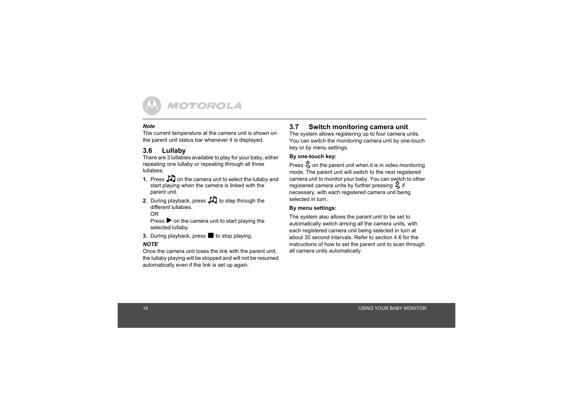#### *Note*

The current temperature at the camera unit is shown on the parent unit status bar whenever it is displayed.

# **3.6 Lullaby**

There are 3 lullabies available to play for your baby, either repeating one lullaby or repeating through all three lullabies.

- **1.** Press  $\int$  on the camera unit to select the lullaby and start playing when the camera is linked with the parent unit.
- **2.** During playback, press  $\Box$  to step through the different lullabies.

OR

Press  $\triangleright$  on the camera unit to start playing the selected lullaby.

**3.** During playback, press **b** to stop playing.

#### *NOTE*

Once the camera unit loses the link with the parent unit, the lullaby playing will be stopped and will not be resumed automatically even if the link is set up again.

# **3.7 Switch monitoring camera unit**

The system allows registering up to four camera units. You can switch the monitoring camera unit by one-touch key or by menu settings.

#### **By one-touch key:**

Press  $\frac{6}{5}$  on the parent unit when it is in video monitoring mode. The parent unit will switch to the next registered camera unit to monitor your baby. You can switch to other registered camera units by further pressing  $\frac{6}{5}$  if necessary, with each registered camera unit being selected in turn.

#### **By menu settings:**

The system also allows the parent unit to be set to automatically switch among all the camera units, with each registered camera unit being selected in turn at about 30 second intervals. Refer to section 4.6 for the instructions of how to set the parent unit to scan through all camera units automatically.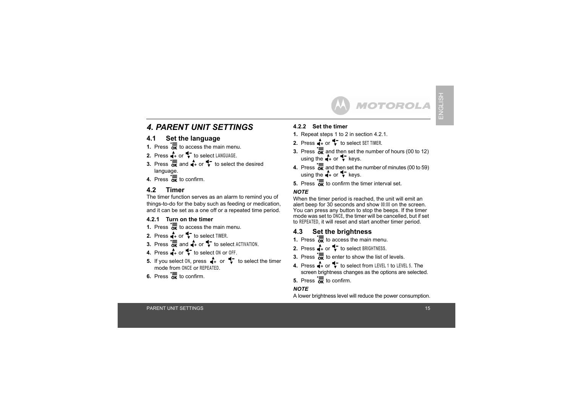# *4. PARENT UNIT SETTINGS*

# **4.1 Set the language**

- **1.** Press  $\overline{\mathbf{a}}$  to access the main menu.
- **2.** Press  $\stackrel{\blacktriangle}{\bullet}$  fo select LANGUAGE.
- **3.** Press  $\overline{\mathbf{a}}$  and  $\overline{\mathbf{a}}$  or  $\overline{\mathbf{v}}$  to select the desired language.
- **4.** Press  $\overline{K}$  to confirm.

# **4.2 Timer**

The timer function serves as an alarm to remind you of things-to-do for the baby such as feeding or medication, and it can be set as a one off or a repeated time period.

### **4.2.1 Turn on the timer**

- **1.** Press  $\overline{\mathbf{a}}$  to access the main menu.
- **2.** Press  $\uparrow$  or  $\uparrow$  to select TIMER.
- **3.** Press  $\overline{\mathbf{K}}$  and  $\overline{\mathbf{A}}$  or  $\overline{\mathbf{V}}$  to select ACTIVATION.
- **4.** Press  $\stackrel{\blacktriangle}{\blacksquare}$  to select 0N or 0FF.
- **5.** If you select  $\circ$ M, press  $\mathbf{A}$  or  $\mathbf{\downarrow}$  to select the timer mode from **ONCE** or **REPEATED**.
- **6.** Press  $\overline{K}$  to confirm.

#### **4.2.2 Set the timer**

- **1.** Repeat steps 1 to 2 in section 4.2.1.
- **2.** Press  $\mathbf{A}$  or  $\mathbf{\nabla}$  to select SET TIMER.
- **3.** Press  $\overline{\mathbf{K}}$  and then set the number of hours (00 to 12) using the  $\stackrel{\bullet}{\bullet}$  or  $\stackrel{\bullet}{\bullet}$  keys.
- **4.** Press  $\overline{\text{OR}}$  and then set the number of minutes (00 to 59) using the  $\stackrel{\bullet}{\bullet}$  or  $\stackrel{\bullet}{\bullet}$  keys.
- **5.** Press  $\overline{\mathbf{a}}$  to confirm the timer interval set.

### *NOTE*

When the timer period is reached, the unit will emit an alert beep for 30 seconds and show **00:00** on the screen. You can press any button to stop the beeps. If the timer mode was set to **ONCE**, the timer will be cancelled, but if set to **REPEATED**, it will reset and start another timer period.

# **4.3 Set the brightness**

- **1.** Press  $\overline{\mathbf{a}}$  to access the main menu.
- **2.** Press  $\stackrel{\blacktriangle}{\blacksquare}$  to select BRIGHTNESS.
- **3.** Press  $\overline{\mathbf{a}}$  to enter to show the list of levels.
- **4.** Press  $\bigoplus$  or  $\bigoplus$  to select from LEVEL 1 to LEVEL 5. The screen brightness changes as the options are selected.
- **5.** Press  $\overline{K}$  to confirm.

#### *NOTE*

A lower brightness level will reduce the power consumption.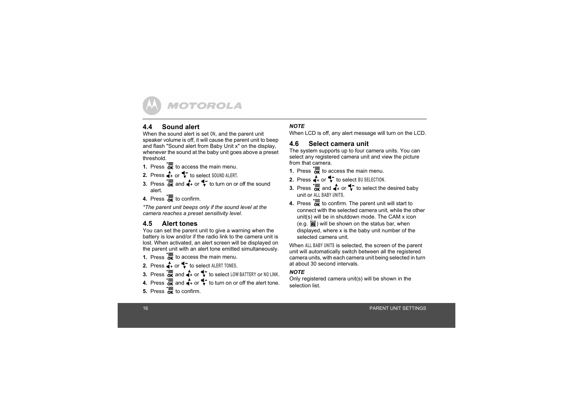# **4.4 Sound alert**

When the sound alert is set **ON**, and the parent unit speaker volume is off, it will cause the parent unit to beep and flash "Sound alert from Baby Unit x" on the display, whenever the sound at the baby unit goes above a preset threshold.

- **1.** Press  $\overline{\mathbf{a}}$  to access the main menu.
- **2.** Press  $\stackrel{\bullet}{\bullet}$  or  $\stackrel{\bullet}{\bullet}$  to select SOUND ALERT.
- **3.** Press  $\overline{\mathbf{a}}\overline{\mathbf{b}}$  and  $\overline{\mathbf{a}}$  or  $\overline{\mathbf{b}}$  to turn on or off the sound alert.
- **4.** Press  $\overline{K}$  to confirm.

*\*The parent unit beeps only if the sound level at the camera reaches a preset sensitivity level.*

# **4.5 Alert tones**

You can set the parent unit to give a warning when the battery is low and/or if the radio link to the camera unit is lost. When activated, an alert screen will be displayed on the parent unit with an alert tone emitted simultaneously.

**1.** Press  $\overline{\mathbf{a}}$  to access the main menu.

- **2.** Press  $\stackrel{\bullet}{\bullet}$  or  $\stackrel{\bullet}{\bullet}$  to select ALERT TONES.
- **3.** Press  $\overline{\text{OK}}$  and  $\overline{\text{A}}$  or  $\overline{\text{V}}$  to select LOW BATTERY or NO LINK.
- **4.** Press  $\overline{\text{ox}}$  and  $\overline{\text{4}}$  or  $\overline{\text{4}}$  to turn on or off the alert tone.
- **5.** Press  $\overline{K}$  to confirm.

#### *NOTE*

When LCD is off, any alert message will turn on the LCD.

### **4.6 Select camera unit**

The system supports up to four camera units. You can select any registered camera unit and view the picture from that camera.

- **1.** Press  $\overline{\mathbf{a}}$  to access the main menu.
- **2.** Press  $\stackrel{\bullet}{\bullet}$  or  $\stackrel{\bullet}{\bullet}$  to select BU SELECTION.
- **3.** Press  $\overline{\mathbf{K}}$  and  $\overline{\mathbf{A}}$  or  $\overline{\mathbf{V}}$  to select the desired baby unit or **ALL BABY UNITS**.
- **4.** Press  $\overline{\mathbf{K}}$  to confirm. The parent unit will start to connect with the selected camera unit, while the other unit(s) will be in shutdown mode. The CAM x icon  $(e.g. \trianglerighteq)$  will be shown on the status bar, when displayed, where x is the baby unit number of the selected camera unit.

When **ALL BABY UNITS** is selected, the screen of the parent unit will automatically switch between all the registered camera units, with each camera unit being selected in turn at about 30 second intervals.

#### *NOTE*

Only registered camera unit(s) will be shown in the selection list.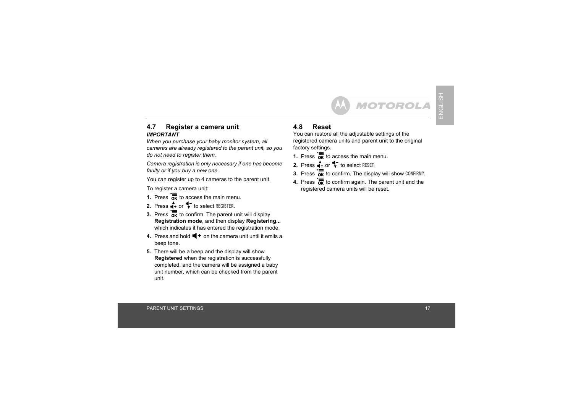#### **4.7 Register a camera unit** *IMPORTANT*

*When you purchase your baby monitor system, all cameras are already registered to the parent unit, so you do not need to register them.*

*Camera registration is only necessary if one has become faulty or if you buy a new one.*

You can register up to 4 cameras to the parent unit.

To register a camera unit:

- **1.** Press  $\overline{\mathbf{a}}$  to access the main menu.
- **2.** Press  $\stackrel{\blacktriangle}{\blacksquare}$  to select REGISTER.
- **3.** Press  $\overline{\mathbf{K}}$  to confirm. The parent unit will display **Registration mode**, and then display **Registering...** which indicates it has entered the registration mode.
- **4.** Press and hold  $\blacktriangleleft$  **+** on the camera unit until it emits a beep tone.
- **5.** There will be a beep and the display will show **Registered** when the registration is successfully completed, and the camera will be assigned a baby unit number, which can be checked from the parent unit.

# **4.8 Reset**

You can restore all the adjustable settings of the registered camera units and parent unit to the original factory settings.

- **1.** Press  $\overline{\mathbf{a}}$  to access the main menu.
- **2.** Press  $\stackrel{\blacktriangle}{\blacksquare}$  to select RESET.
- **3.** Press  $\overline{\mathbf{ox}}$  to confirm. The display will show CONFIRM?.
- **4.** Press  $\overline{\mathbf{K}}$  to confirm again. The parent unit and the registered camera units will be reset.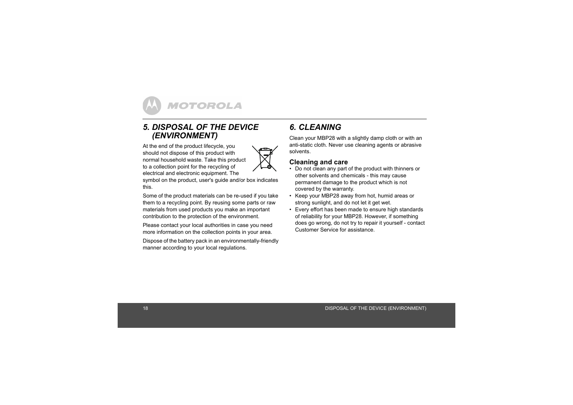# *5. DISPOSAL OF THE DEVICE (ENVIRONMENT)*

At the end of the product lifecycle, you should not dispose of this product with normal household waste. Take this product to a collection point for the recycling of electrical and electronic equipment. The



symbol on the product, user's guide and/or box indicates this.

Some of the product materials can be re-used if you take them to a recycling point. By reusing some parts or raw materials from used products you make an important contribution to the protection of the environment.

Please contact your local authorities in case you need more information on the collection points in your area.

Dispose of the battery pack in an environmentally-friendly manner according to your local regulations.

# *6. CLEANING*

Clean your MBP28 with a slightly damp cloth or with an anti-static cloth. Never use cleaning agents or abrasive solvents.

### **Cleaning and care**

- Do not clean any part of the product with thinners or other solvents and chemicals - this may cause permanent damage to the product which is not covered by the warranty.
- Keep your MBP28 away from hot, humid areas or strong sunlight, and do not let it get wet.
- Every effort has been made to ensure high standards of reliability for your MBP28. However, if something does go wrong, do not try to repair it yourself - contact Customer Service for assistance.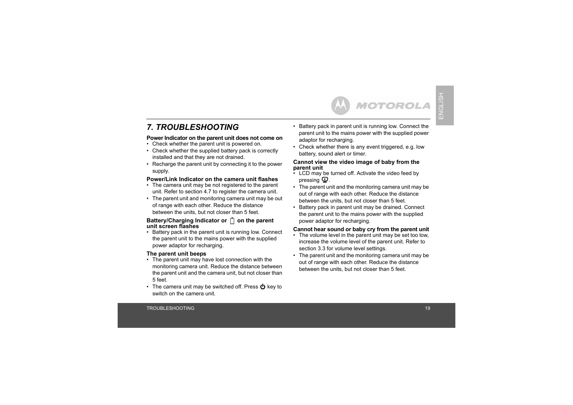# *7. TROUBLESHOOTING*

#### **Power Indicator on the parent unit does not come on**

- Check whether the parent unit is powered on.
- Check whether the supplied battery pack is correctly installed and that they are not drained.
- Recharge the parent unit by connecting it to the power supply.

#### **Power/Link Indicator on the camera unit flashes**

- The camera unit may be not registered to the parent unit. Refer to section [4.7](#page--1-1) to register the camera unit.
- The parent unit and monitoring camera unit may be out of range with each other. Reduce the distance between the units, but not closer than 5 feet.

#### Battery/Charging Indicator or  $\[\ ]$  on the parent **unit screen flashes**

• Battery pack in the parent unit is running low. Connect the parent unit to the mains power with the supplied power adaptor for recharging.

#### **The parent unit beeps**

- The parent unit may have lost connection with the monitoring camera unit. Reduce the distance between the parent unit and the camera unit, but not closer than 5 feet.
- The camera unit may be switched off. Press  $\bigcirc$  key to switch on the camera unit.

• Battery pack in parent unit is running low. Connect the parent unit to the mains power with the supplied power adaptor for recharging.

**MOTOROLA** 

• Check whether there is any event triggered, e.g. low battery, sound alert or timer.

#### **Cannot view the video image of baby from the parent unit**

- LCD may be turned off. Activate the video feed by pressing  $\mathbf{\mathbf{\mathfrak{\Theta}}}$  .
- The parent unit and the monitoring camera unit may be out of range with each other. Reduce the distance between the units, but not closer than 5 feet.
- Battery pack in parent unit may be drained. Connect the parent unit to the mains power with the supplied power adaptor for recharging.

#### **Cannot hear sound or baby cry from the parent unit**

- The volume level in the parent unit may be set too low, increase the volume level of the parent unit. Refer to section [3.3](#page--1-0) for volume level settings.
- The parent unit and the monitoring camera unit may be out of range with each other. Reduce the distance between the units, but not closer than 5 feet.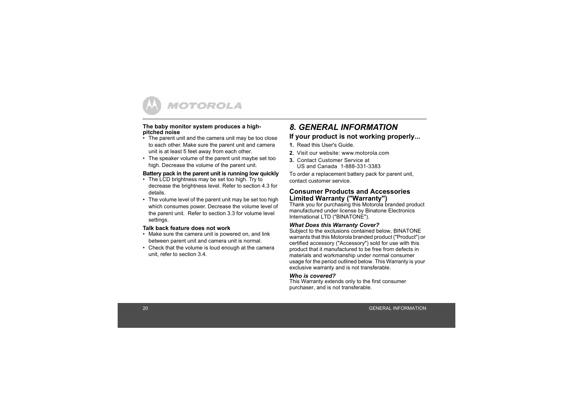

#### **The baby monitor system produces a highpitched noise**

- $\cdot$  The parent unit and the camera unit may be too close to each other. Make sure the parent unit and camera unit is at least 5 feet away from each other.
- The speaker volume of the parent unit maybe set too high. Decrease the volume of the parent unit.

#### **Battery pack in the parent unit is running low quickly**

- The LCD brightness may be set too high. Try to decrease the brightness level. Refer to section [4.3](#page--1-3) for details.
- The volume level of the parent unit may be set too high which consumes power. Decrease the volume level of the parent unit. Refer to section [3.3](#page--1-0) for volume level settings.

#### **Talk back feature does not work**

- Make sure the camera unit is powered on, and link between parent unit and camera unit is normal.
- Check that the volume is loud enough at the camera unit, refer to section [3.4](#page--1-2).

# *8. GENERAL INFORMATION***If your product is not working properly...**

- **1.** Read this User's Guide.
- **2.** Visit our website: www.motorola.com
- **3.** Contact Customer Service at US and Canada 1-888-331-3383

To order a replacement battery pack for parent unit, contact customer service.

#### **Consumer Products and Accessories Limited Warranty ("Warranty")**

Thank you for purchasing this Motorola branded product manufactured under license by Binatone Electronics International LTD ("BINATONE").

#### *What Does this Warranty Cover?*

Subject to the exclusions contained below, BINATONE warrants that this Motorola branded product ("Product") or certified accessory ("Accessory") sold for use with this product that it manufactured to be free from defects in materials and workmanship under normal consumer usage for the period outlined below. This Warranty is your exclusive warranty and is not transferable.

#### *Who is covered?*

 This Warranty extends only to the first consumer purchaser, and is not transferable.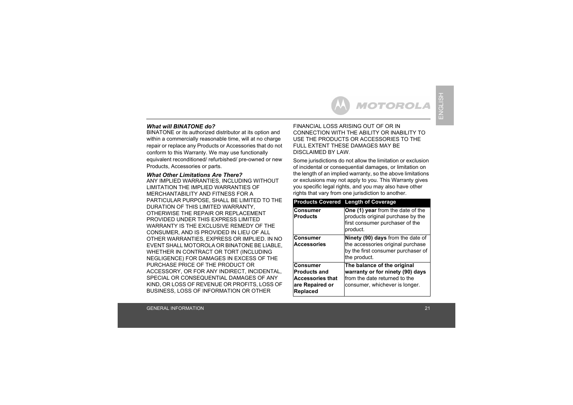#### *What will BINATONE do?*

BINATONE or its authorized distributor at its option and within a commercially reasonable time, will at no charge repair or replace any Products or Accessories that do not conform to this Warranty. We may use functionally equivalent reconditioned/ refurbished/ pre-owned or new Products, Accessories or parts.

#### *What Other Limitations Are There?*

 ANY IMPLIED WARRANTIES, INCLUDING WITHOUT LIMITATION THE IMPLIED WARRANTIES OF MERCHANTABILITY AND FITNESS FOR A PARTICULAR PURPOSE, SHALL BE LIMITED TO THE DURATION OF THIS LIMITED WARRANTY, OTHERWISE THE REPAIR OR REPLACEMENT PROVIDED UNDER THIS EXPRESS LIMITED WARRANTY IS THE EXCLUSIVE REMEDY OF THE CONSUMER, AND IS PROVIDED IN LIEU OF ALL OTHER WARRANTIES, EXPRESS OR IMPLIED. IN NO EVENT SHALL MOTOROLA OR BINATONE BE LIABLE, WHETHER IN CONTRACT OR TORT (INCLUDING NEGLIGENCE) FOR DAMAGES IN EXCESS OF THE PURCHASE PRICE OF THE PRODUCT OR ACCESSORY, OR FOR ANY INDIRECT, INCIDENTAL, SPECIAL OR CONSEQUENTIAL DAMAGES OF ANY KIND, OR LOSS OF REVENUE OR PROFITS, LOSS OF BUSINESS, LOSS OF INFORMATION OR OTHER

FINANCIAL LOSS ARISING OUT OF OR IN CONNECTION WITH THE ABILITY OR INABILITY TO USE THE PRODUCTS OR ACCESSORIES TO THE FULL EXTENT THESE DAMAGES MAY BE DISCLAIMED BY LAW.

MOTOROLA

Some jurisdictions do not allow the limitation or exclusion of incidental or consequential damages, or limitation on the length of an implied warranty, so the above limitations or exclusions may not apply to you. This Warranty gives you specific legal rights, and you may also have other rights that vary from one jurisdiction to another.

|                                                                                                         | <b>Products Covered Length of Coverage</b>                                                                                         |
|---------------------------------------------------------------------------------------------------------|------------------------------------------------------------------------------------------------------------------------------------|
| <b>Consumer</b><br><b>Products</b>                                                                      | One (1) year from the date of the<br>products original purchase by the<br>first consumer purchaser of the<br>product.              |
| <b>Consumer</b><br><b>Accessories</b>                                                                   | Ninety (90) days from the date of<br>the accessories original purchase<br>by the first consumer purchaser of<br>the product.       |
| <b>Consumer</b><br><b>Products and</b><br><b>Accessories that</b><br>are Repaired or<br><b>Replaced</b> | The balance of the original<br>warranty or for ninety (90) days<br>from the date returned to the<br>consumer, whichever is longer. |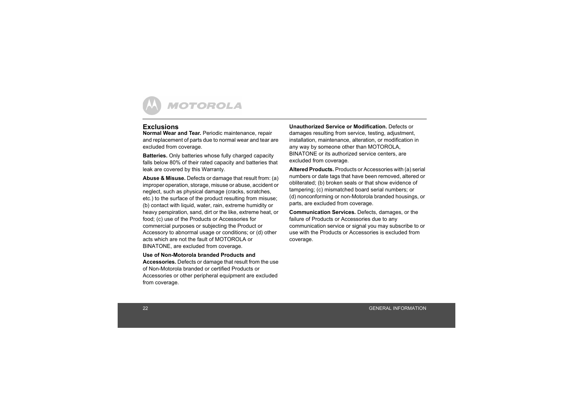#### **Exclusions**

**Normal Wear and Tear.** Periodic maintenance, repair and replacement of parts due to normal wear and tear are excluded from coverage.

**Batteries.** Only batteries whose fully charged capacity falls below 80% of their rated capacity and batteries that leak are covered by this Warranty.

**Abuse & Misuse.** Defects or damage that result from: (a) improper operation, storage, misuse or abuse, accident or neglect, such as physical damage (cracks, scratches, etc.) to the surface of the product resulting from misuse; (b) contact with liquid, water, rain, extreme humidity or heavy perspiration, sand, dirt or the like, extreme heat, or food; (c) use of the Products or Accessories for commercial purposes or subjecting the Product or Accessory to abnormal usage or conditions; or (d) other acts which are not the fault of MOTOROLA or BINATONE, are excluded from coverage.

#### **Use of Non-Motorola branded Products and**

**Accessories.** Defects or damage that result from the use of Non-Motorola branded or certified Products or Accessories or other peripheral equipment are excluded from coverage.

**Unauthorized Service or Modification.** Defects or damages resulting from service, testing, adjustment, installation, maintenance, alteration, or modification in any way by someone other than MOTOROLA, BINATONE or its authorized service centers, are excluded from coverage.

**Altered Products.** Products or Accessories with (a) serial numbers or date tags that have been removed, altered or obliterated; (b) broken seals or that show evidence of tampering; (c) mismatched board serial numbers; or (d) nonconforming or non-Motorola branded housings, or parts, are excluded from coverage.

**Communication Services.** Defects, damages, or the failure of Products or Accessories due to any communication service or signal you may subscribe to or use with the Products or Accessories is excluded from coverage.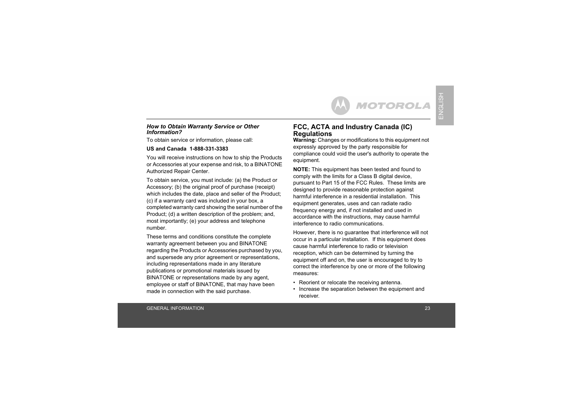#### *How to Obtain Warranty Service or Other Information?*

To obtain service or information, please call:

#### **US and Canada 1-888-331-3383**

You will receive instructions on how to ship the Products or Accessories at your expense and risk, to a BINATONE Authorized Repair Center.

To obtain service, you must include: (a) the Product or Accessory; (b) the original proof of purchase (receipt) which includes the date, place and seller of the Product; (c) if a warranty card was included in your box, a completed warranty card showing the serial number of the Product; (d) a written description of the problem; and, most importantly; (e) your address and telephone number.

These terms and conditions constitute the complete warranty agreement between you and BINATONE regarding the Products or Accessories purchased by you, and supersede any prior agreement or representations, including representations made in any literature publications or promotional materials issued by BINATONE or representations made by any agent, employee or staff of BINATONE, that may have been made in connection with the said purchase.

#### **FCC, ACTA and Industry Canada (IC) Regulations**

**Warning:** Changes or modifications to this equipment not expressly approved by the party responsible for compliance could void the user's authority to operate the equipment.

**MOTOROLA** 

**NOTE:** This equipment has been tested and found to comply with the limits for a Class B digital device, pursuant to Part 15 of the FCC Rules. These limits are designed to provide reasonable protection against harmful interference in a residential installation. This equipment generates, uses and can radiate radio frequency energy and, if not installed and used in accordance with the instructions, may cause harmful interference to radio communications.

However, there is no guarantee that interference will not occur in a particular installation. If this equipment does cause harmful interference to radio or television reception, which can be determined by turning the equipment off and on, the user is encouraged to try to correct the interference by one or more of the following measures:

- Reorient or relocate the receiving antenna.
- Increase the separation between the equipment and receiver.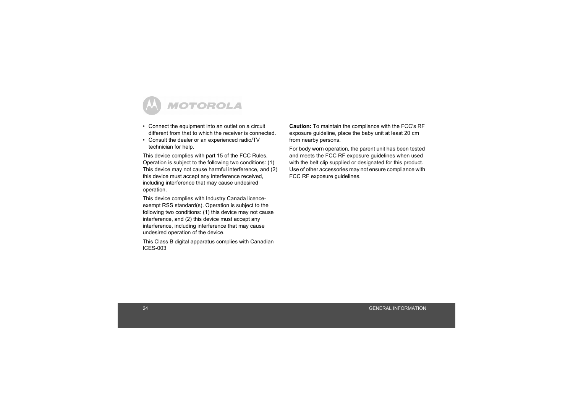

- Connect the equipment into an outlet on a circuit different from that to which the receiver is connected.
- Consult the dealer or an experienced radio/TV technician for help.

This device complies with part 15 of the FCC Rules. Operation is subject to the following two conditions: (1) This device may not cause harmful interference, and (2) this device must accept any interference received, including interference that may cause undesired operation.

This device complies with Industry Canada licenceexempt RSS standard(s). Operation is subject to the following two conditions: (1) this device may not cause interference, and (2) this device must accept any interference, including interference that may cause undesired operation of the device.

This Class B digital apparatus complies with Canadian ICES-003

**Caution:** To maintain the compliance with the FCC's RF exposure guideline, place the baby unit at least 20 cm from nearby persons.

For body worn operation, the parent unit has been tested and meets the FCC RF exposure guidelines when used with the belt clip supplied or designated for this product. Use of other accessories may not ensure compliance with FCC RF exposure guidelines.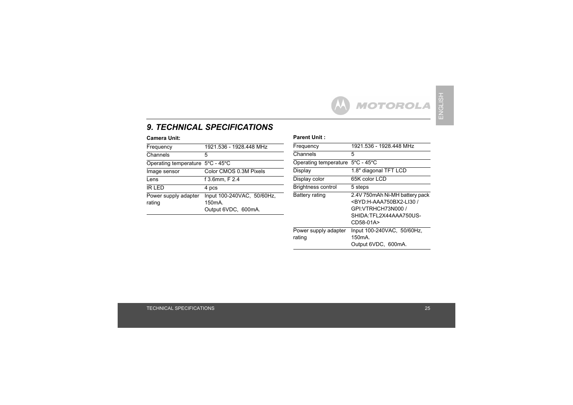# *9. TECHNICAL SPECIFICATIONS*

| Frequency                        | 1921.536 - 1928.448 MHz                                                 |
|----------------------------------|-------------------------------------------------------------------------|
| Channels                         | 5                                                                       |
| Operating temperature 5°C - 45°C |                                                                         |
| Image sensor                     | Color CMOS 0.3M Pixels                                                  |
| Lens                             | f 3.6mm, F 2.4                                                          |
| <b>IR LED</b>                    | 4 pcs                                                                   |
| Power supply adapter<br>rating   | Input 100-240VAC, 50/60Hz,<br>150 <sub>m</sub> A<br>Output 6VDC, 600mA. |
|                                  |                                                                         |

#### **Camera Unit:** Parent Unit :

| Frequency                                  | 1921.536 - 1928.448 MHz                                                                                                                              |
|--------------------------------------------|------------------------------------------------------------------------------------------------------------------------------------------------------|
| Channels                                   | 5                                                                                                                                                    |
| Operating temperature $5^{\circ}$ C - 45°C |                                                                                                                                                      |
| Display                                    | 1.8" diagonal TFT LCD                                                                                                                                |
| Display color                              | 65K color LCD                                                                                                                                        |
| <b>Brightness control</b>                  | 5 steps                                                                                                                                              |
| <b>Battery rating</b>                      | 2.4V 750mAh Ni-MH battery pack<br><byd:h-aaa750bx2-li30 <br="">GPI:VTRHCH73N000 /<br/>SHIDA:TFL2X44AAA750US-<br/>CD58-01A&gt;</byd:h-aaa750bx2-li30> |
| Power supply adapter<br>rating             | Input 100-240VAC, 50/60Hz,<br>150 <sub>m</sub> A<br>Output 6VDC, 600mA.                                                                              |